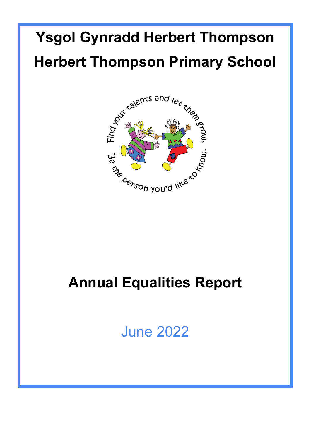# **Ysgol Gynradd Herbert Thompson Herbert Thompson Primary School**



## **Annual Equalities Report**

June 2022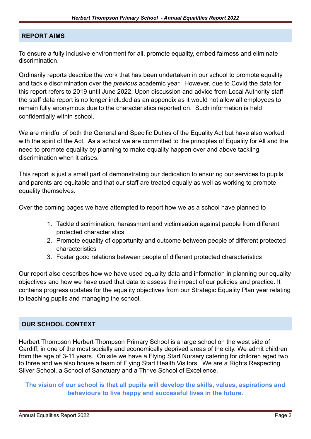#### **REPORT AIMS**

To ensure a fully inclusive environment for all, promote equality, embed fairness and eliminate discrimination.

Ordinarily reports describe the work that has been undertaken in our school to promote equality and tackle discrimination over the *previous* academic year. However, due to Covid the data for this report refers to 2019 until June 2022. Upon discussion and advice from Local Authority staff the staff data report is no longer included as an appendix as it would not allow all employees to remain fully anonymous due to the characteristics reported on. Such information is held confidentially within school.

We are mindful of both the General and Specific Duties of the Equality Act but have also worked with the spirit of the Act. As a school we are committed to the principles of Equality for All and the need to promote equality by planning to make equality happen over and above tackling discrimination when it arises.

This report is just a small part of demonstrating our dedication to ensuring our services to pupils and parents are equitable and that our staff are treated equally as well as working to promote equality themselves.

Over the coming pages we have attempted to report how we as a school have planned to

- 1. Tackle discrimination, harassment and victimisation against people from different protected characteristics
- 2. Promote equality of opportunity and outcome between people of different protected characteristics
- 3. Foster good relations between people of different protected characteristics

Our report also describes how we have used equality data and information in planning our equality objectives and how we have used that data to assess the impact of our policies and practice. It contains progress updates for the equality objectives from our Strategic Equality Plan year relating to teaching pupils and managing the school.

#### **OUR SCHOOL CONTEXT**

Herbert Thompson Herbert Thompson Primary School is a large school on the west side of Cardiff, in one of the most socially and economically deprived areas of the city. We admit children from the age of 3-11 years. On site we have a Flying Start Nursery catering for children aged two to three and we also house a team of Flying Start Health Visitors. We are a Rights Respecting Silver School, a School of Sanctuary and a Thrive School of Excellence.

**The vision of our school is that all pupils will develop the skills, values, aspirations and behaviours to live happy and successful lives in the future.**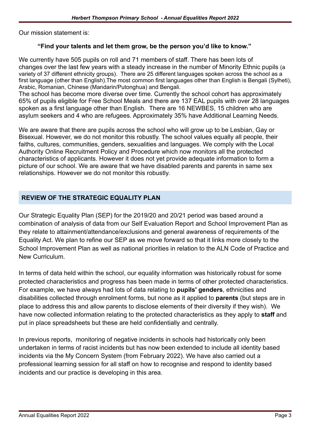Our mission statement is:

#### **"Find your talents and let them grow, be the person you'd like to know."**

We currently have 505 pupils on roll and 71 members of staff. There has been lots of changes over the last few years with a steady increase in the number of Minority Ethnic pupils (a variety of 37 different ethnicity groups). There are 25 different languages spoken across the school as a first language (other than English).The most common first languages other than English is Bengali (Sylheti), Arabic, Romanian, Chinese (Mandarin/Putonghua) and Bengali.

The school has become more diverse over time. Currently the school cohort has approximately 65% of pupils eligible for Free School Meals and there are 137 EAL pupils with over 28 languages spoken as a first language other than English. There are 16 NEWBES, 15 children who are asylum seekers and 4 who are refugees. Approximately 35% have Additional Learning Needs.

We are aware that there are pupils across the school who will grow up to be Lesbian, Gay or Bisexual. However, we do not monitor this robustly. The school values equally all people, their faiths, cultures, communities, genders, sexualities and languages. We comply with the Local Authority Online Recruitment Policy and Procedure which now monitors all the protected characteristics of applicants. However it does not yet provide adequate information to form a picture of our school. We are aware that we have disabled parents and parents in same sex relationships. However we do not monitor this robustly.

#### **REVIEW OF THE STRATEGIC EQUALITY PLAN**

Our Strategic Equality Plan (SEP) for the 2019/20 and 20/21 period was based around a combination of analysis of data from our Self Evaluation Report and School Improvement Plan as they relate to attainment/attendance/exclusions and general awareness of requirements of the Equality Act. We plan to refine our SEP as we move forward so that it links more closely to the School Improvement Plan as well as national priorities in relation to the ALN Code of Practice and New Curriculum.

In terms of data held within the school, our equality information was historically robust for some protected characteristics and progress has been made in terms of other protected characteristics. For example, we have always had lots of data relating to **pupils' genders**, ethnicities and disabilities collected through enrolment forms, but none as it applied to **parents** (but steps are in place to address this and allow parents to disclose elements of their diversity if they wish). We have now collected information relating to the protected characteristics as they apply to **staff** and put in place spreadsheets but these are held confidentially and centrally.

In previous reports, monitoring of negative incidents in schools had historically only been undertaken in terms of racist incidents but has now been extended to include all identity based incidents via the My Concern System (from February 2022). We have also carried out a professional learning session for all staff on how to recognise and respond to identity based incidents and our practice is developing in this area.